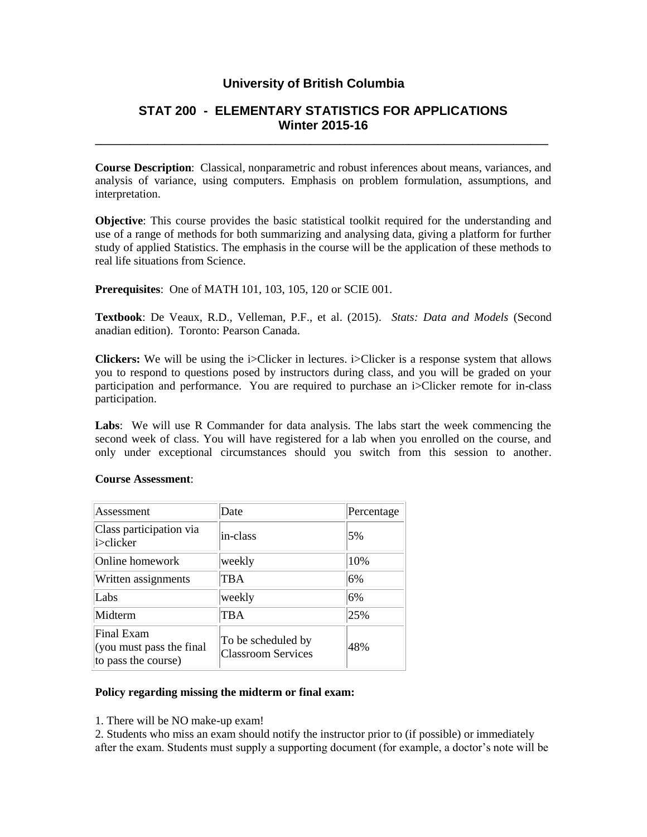## **University of British Columbia**

## **STAT 200 - ELEMENTARY STATISTICS FOR APPLICATIONS Winter 2015-16**

**\_\_\_\_\_\_\_\_\_\_\_\_\_\_\_\_\_\_\_\_\_\_\_\_\_\_\_\_\_\_\_\_\_\_\_\_\_\_\_\_\_\_\_\_\_\_\_\_\_\_\_\_\_\_\_\_\_\_\_\_\_\_\_\_\_\_\_\_\_\_\_\_\_\_\_\_\_\_**

**Course Description**: Classical, nonparametric and robust inferences about means, variances, and analysis of variance, using computers. Emphasis on problem formulation, assumptions, and interpretation.

**Objective**: This course provides the basic statistical toolkit required for the understanding and use of a range of methods for both summarizing and analysing data, giving a platform for further study of applied Statistics. The emphasis in the course will be the application of these methods to real life situations from Science.

**Prerequisites**: One of MATH 101, 103, 105, 120 or SCIE 001.

**Textbook**: De Veaux, R.D., Velleman, P.F., et al. (2015). *Stats: Data and Models* (Second anadian edition). Toronto: Pearson Canada.

**Clickers:** We will be using the i>Clicker in lectures. i>Clicker is a response system that allows you to respond to questions posed by instructors during class, and you will be graded on your participation and performance. You are required to purchase an i>Clicker remote for in-class participation.

**Labs**: We will use R Commander for data analysis. The labs start the week commencing the second week of class. You will have registered for a lab when you enrolled on the course, and only under exceptional circumstances should you switch from this session to another.

| Assessment                                                    | Date                                            | Percentage |
|---------------------------------------------------------------|-------------------------------------------------|------------|
| Class participation via<br>i>clicker                          | in-class                                        | 5%         |
| Online homework                                               | weekly                                          | 10%        |
| Written assignments                                           | TBA                                             | 6%         |
| Labs                                                          | weekly                                          | 6%         |
| Midterm                                                       | <b>TBA</b>                                      | 25%        |
| Final Exam<br>(you must pass the final<br>to pass the course) | To be scheduled by<br><b>Classroom Services</b> | 48%        |

## **Course Assessment**:

## **Policy regarding missing the midterm or final exam:**

1. There will be NO make-up exam!

2. Students who miss an exam should notify the instructor prior to (if possible) or immediately after the exam. Students must supply a supporting document (for example, a doctor's note will be